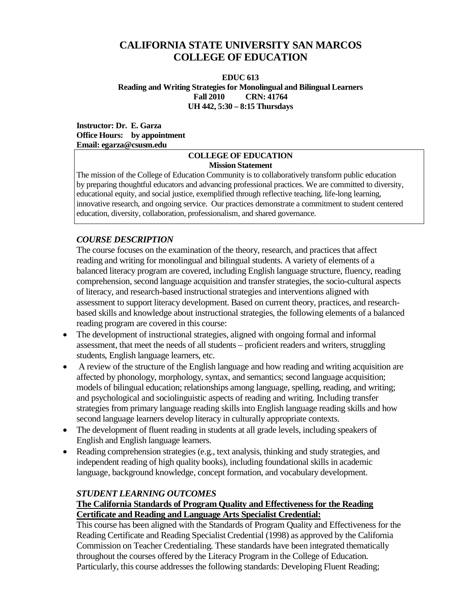# **CALIFORNIA STATE UNIVERSITY SAN MARCOS COLLEGE OF EDUCATION**

#### **EDUC 613 Reading and Writing Strategies for Monolingual and Bilingual Learners Fall 2010 CRN: 41764 UH 442, 5:30 – 8:15 Thursdays**

#### **Instructor: Dr. E. Garza Office Hours: by appointment Email: egarza@csusm.edu**

#### **COLLEGE OF EDUCATION Mission Statement**

The mission of the College of Education Community is to collaboratively transform public education by preparing thoughtful educators and advancing professional practices. We are committed to diversity, educational equity, and social justice, exemplified through reflective teaching, life-long learning, innovative research, and ongoing service. Our practices demonstrate a commitment to student centered education, diversity, collaboration, professionalism, and shared governance.

# *COURSE DESCRIPTION*

The course focuses on the examination of the theory, research, and practices that affect reading and writing for monolingual and bilingual students. A variety of elements of a balanced literacy program are covered, including English language structure, fluency, reading comprehension, second language acquisition and transfer strategies, the socio-cultural aspects of literacy, and research-based instructional strategies and interventions aligned with assessment to support literacy development. Based on current theory, practices, and researchbased skills and knowledge about instructional strategies, the following elements of a balanced reading program are covered in this course:

- The development of instructional strategies, aligned with ongoing formal and informal assessment, that meet the needs of all students – proficient readers and writers, struggling students, English language learners, etc.
- A review of the structure of the English language and how reading and writing acquisition are affected by phonology, morphology, syntax, and semantics; second language acquisition; models of bilingual education; relationships among language, spelling, reading, and writing; and psychological and sociolinguistic aspects of reading and writing. Including transfer strategies from primary language reading skills into English language reading skills and how second language learners develop literacy in culturally appropriate contexts.
- The development of fluent reading in students at all grade levels, including speakers of English and English language learners.
- Reading comprehension strategies (e.g., text analysis, thinking and study strategies, and independent reading of high quality books), including foundational skills in academic language, background knowledge, concept formation, and vocabulary development.

# *STUDENT LEARNING OUTCOMES*

### **The California Standards of Program Quality and Effectiveness for the Reading Certificate and Reading and Language Arts Specialist Credential:**

This course has been aligned with the Standards of Program Quality and Effectiveness for the Reading Certificate and Reading Specialist Credential (1998) as approved by the California Commission on Teacher Credentialing. These standards have been integrated thematically throughout the courses offered by the Literacy Program in the College of Education. Particularly, this course addresses the following standards: Developing Fluent Reading;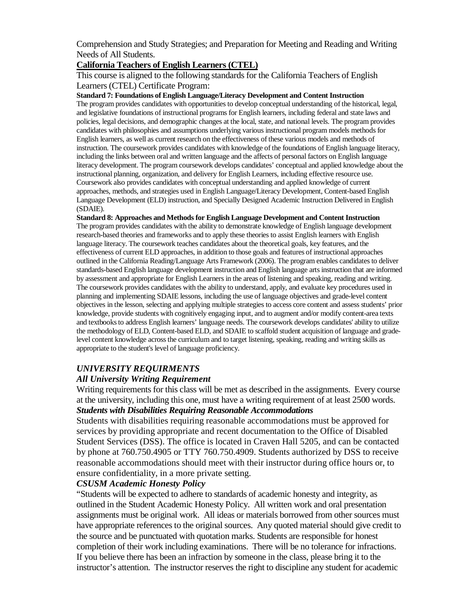Comprehension and Study Strategies; and Preparation for Meeting and Reading and Writing Needs of All Students.

### **California Teachers of English Learners (CTEL)**

This course is aligned to the following standards for the California Teachers of English Learners (CTEL) Certificate Program:

#### **Standard 7: Foundations of English Language/Literacy Development and Content Instruction**

The program provides candidates with opportunities to develop conceptual understanding of the historical, legal, and legislative foundations of instructional programs for English learners, including federal and state laws and policies, legal decisions, and demographic changes at the local, state, and national levels. The program provides candidates with philosophies and assumptions underlying various instructional program models methods for English learners, as well as current research on the effectiveness of these various models and methods of instruction. The coursework provides candidates with knowledge of the foundations of English language literacy, including the links between oral and written language and the affects of personal factors on English language literacy development. The program coursework develops candidates' conceptual and applied knowledge about the instructional planning, organization, and delivery for English Learners, including effective resource use. Coursework also provides candidates with conceptual understanding and applied knowledge of current approaches, methods, and strategies used in English Language/Literacy Development, Content-based English Language Development (ELD) instruction, and Specially Designed Academic Instruction Delivered in English (SDAIE).

**Standard 8: Approaches and Methods for English Language Development and Content Instruction** The program provides candidates with the ability to demonstrate knowledge of English language development research-based theories and frameworks and to apply these theories to assist English learners with English language literacy. The coursework teaches candidates about the theoretical goals, key features, and the effectiveness of current ELD approaches, in addition to those goals and features of instructional approaches outlined in the California Reading/Language Arts Framework (2006). The program enables candidates to deliver standards-based English language development instruction and English language arts instruction that are informed by assessment and appropriate for English Learners in the areas of listening and speaking, reading and writing. The coursework provides candidates with the ability to understand, apply, and evaluate key procedures used in planning and implementing SDAIE lessons, including the use of language objectives and grade-level content objectives in the lesson, selecting and applying multiple strategies to access core content and assess students' prior knowledge, provide students with cognitively engaging input, and to augment and/or modify content-area texts and textbooks to address English learners' language needs. The coursework develops candidates' ability to utilize the methodology of ELD, Content-based ELD, and SDAIE to scaffold student acquisition of language and gradelevel content knowledge across the curriculum and to target listening, speaking, reading and writing skills as appropriate to the student's level of language proficiency.

### *UNIVERSITY REQUIRMENTS*

#### *All University Writing Requirement*

Writing requirements for this class will be met as described in the assignments. Every course at the university, including this one, must have a writing requirement of at least 2500 words. *Students with Disabilities Requiring Reasonable Accommodations*

Students with disabilities requiring reasonable accommodations must be approved for services by providing appropriate and recent documentation to the Office of Disabled Student Services (DSS). The office is located in Craven Hall 5205, and can be contacted by phone at 760.750.4905 or TTY 760.750.4909. Students authorized by DSS to receive reasonable accommodations should meet with their instructor during office hours or, to ensure confidentiality, in a more private setting.

### *CSUSM Academic Honesty Policy*

"Students will be expected to adhere to standards of academic honesty and integrity, as outlined in the Student Academic Honesty Policy. All written work and oral presentation assignments must be original work. All ideas or materials borrowed from other sources must have appropriate references to the original sources. Any quoted material should give credit to the source and be punctuated with quotation marks. Students are responsible for honest completion of their work including examinations. There will be no tolerance for infractions. If you believe there has been an infraction by someone in the class, please bring it to the instructor's attention. The instructor reserves the right to discipline any student for academic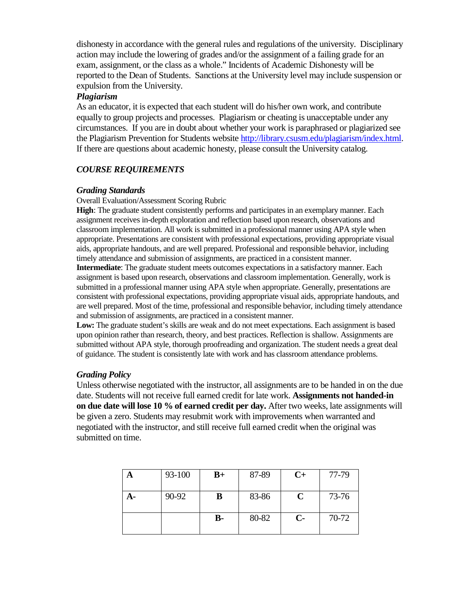dishonesty in accordance with the general rules and regulations of the university. Disciplinary action may include the lowering of grades and/or the assignment of a failing grade for an exam, assignment, or the class as a whole." Incidents of Academic Dishonesty will be reported to the Dean of Students. Sanctions at the University level may include suspension or expulsion from the University.

#### *Plagiarism*

As an educator, it is expected that each student will do his/her own work, and contribute equally to group projects and processes. Plagiarism or cheating is unacceptable under any circumstances. If you are in doubt about whether your work is paraphrased or plagiarized see the Plagiarism Prevention for Students website [http://library.csusm.edu/plagiarism/index.html.](http://library.csusm.edu/plagiarism/index.html) If there are questions about academic honesty, please consult the University catalog.

## *COURSE REQUIREMENTS*

#### *Grading Standards*

Overall Evaluation/Assessment Scoring Rubric

**High**: The graduate student consistently performs and participates in an exemplary manner. Each assignment receives in-depth exploration and reflection based upon research, observations and classroom implementation. All work is submitted in a professional manner using APA style when appropriate. Presentations are consistent with professional expectations, providing appropriate visual aids, appropriate handouts, and are well prepared. Professional and responsible behavior, including timely attendance and submission of assignments, are practiced in a consistent manner.

**Intermediate**: The graduate student meets outcomes expectations in a satisfactory manner. Each assignment is based upon research, observations and classroom implementation. Generally, work is submitted in a professional manner using APA style when appropriate. Generally, presentations are consistent with professional expectations, providing appropriate visual aids, appropriate handouts, and are well prepared. Most of the time, professional and responsible behavior, including timely attendance and submission of assignments, are practiced in a consistent manner.

Low: The graduate student's skills are weak and do not meet expectations. Each assignment is based upon opinion rather than research, theory, and best practices. Reflection is shallow. Assignments are submitted without APA style, thorough proofreading and organization. The student needs a great deal of guidance. The student is consistently late with work and has classroom attendance problems.

### *Grading Policy*

Unless otherwise negotiated with the instructor, all assignments are to be handed in on the due date. Students will not receive full earned credit for late work. **Assignments not handed-in on due date will lose 10 % of earned credit per day.** After two weeks, late assignments will be given a zero. Students may resubmit work with improvements when warranted and negotiated with the instructor, and still receive full earned credit when the original was submitted on time.

| A  | 93-100 | $B+$      | 87-89 | $C+$ | 77-79 |
|----|--------|-----------|-------|------|-------|
| А- | 90-92  | B         | 83-86 | C    | 73-76 |
|    |        | <b>B-</b> | 80-82 | $C-$ | 70-72 |
|    |        |           |       |      |       |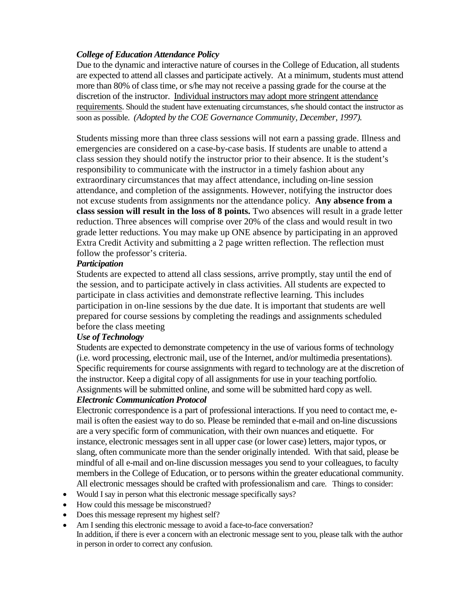# *College of Education Attendance Policy*

Due to the dynamic and interactive nature of courses in the College of Education, all students are expected to attend all classes and participate actively. At a minimum, students must attend more than 80% of class time, or s/he may not receive a passing grade for the course at the discretion of the instructor. Individual instructors may adopt more stringent attendance requirements. Should the student have extenuating circumstances, s/he should contact the instructor as soon as possible. *(Adopted by the COE Governance Community, December, 1997).* 

Students missing more than three class sessions will not earn a passing grade. Illness and emergencies are considered on a case-by-case basis. If students are unable to attend a class session they should notify the instructor prior to their absence. It is the student's responsibility to communicate with the instructor in a timely fashion about any extraordinary circumstances that may affect attendance, including on-line session attendance, and completion of the assignments. However, notifying the instructor does not excuse students from assignments nor the attendance policy. **Any absence from a class session will result in the loss of 8 points.** Two absences will result in a grade letter reduction. Three absences will comprise over 20% of the class and would result in two grade letter reductions. You may make up ONE absence by participating in an approved Extra Credit Activity and submitting a 2 page written reflection. The reflection must follow the professor's criteria.

### *Participation*

Students are expected to attend all class sessions, arrive promptly, stay until the end of the session, and to participate actively in class activities. All students are expected to participate in class activities and demonstrate reflective learning. This includes participation in on-line sessions by the due date. It is important that students are well prepared for course sessions by completing the readings and assignments scheduled before the class meeting

### *Use of Technology*

Students are expected to demonstrate competency in the use of various forms of technology (i.e. word processing, electronic mail, use of the Internet, and/or multimedia presentations). Specific requirements for course assignments with regard to technology are at the discretion of the instructor. Keep a digital copy of all assignments for use in your teaching portfolio. Assignments will be submitted online, and some will be submitted hard copy as well.

### *Electronic Communication Protocol*

Electronic correspondence is a part of professional interactions. If you need to contact me, email is often the easiest way to do so. Please be reminded that e-mail and on-line discussions are a very specific form of communication, with their own nuances and etiquette. For instance, electronic messages sent in all upper case (or lower case) letters, major typos, or slang, often communicate more than the sender originally intended. With that said, please be mindful of all e-mail and on-line discussion messages you send to your colleagues, to faculty members in the College of Education, or to persons within the greater educational community. All electronic messages should be crafted with professionalism and care. Things to consider:

- Would I say in person what this electronic message specifically says?
- How could this message be misconstrued?
- Does this message represent my highest self?
- Am I sending this electronic message to avoid a face-to-face conversation?
- In addition, if there is ever a concern with an electronic message sent to you, please talk with the author in person in order to correct any confusion.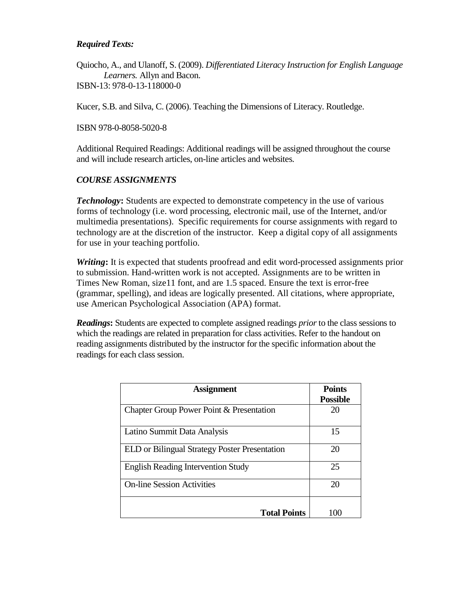## *Required Texts:*

Quiocho, A., and Ulanoff, S. (2009). *Differentiated Literacy Instruction for English Language Learners.* Allyn and Bacon. ISBN-13: 978-0-13-118000-0

Kucer, S.B. and Silva, C. (2006). Teaching the Dimensions of Literacy. Routledge.

ISBN 978-0-8058-5020-8

Additional Required Readings: Additional readings will be assigned throughout the course and will include research articles, on-line articles and websites.

### *COURSE ASSIGNMENTS*

*Technology***:** Students are expected to demonstrate competency in the use of various forms of technology (i.e. word processing, electronic mail, use of the Internet, and/or multimedia presentations). Specific requirements for course assignments with regard to technology are at the discretion of the instructor. Keep a digital copy of all assignments for use in your teaching portfolio.

*Writing***:** It is expected that students proofread and edit word-processed assignments prior to submission. Hand-written work is not accepted. Assignments are to be written in Times New Roman, size11 font, and are 1.5 spaced. Ensure the text is error-free (grammar, spelling), and ideas are logically presented. All citations, where appropriate, use American Psychological Association (APA) format.

*Readings***:** Students are expected to complete assigned readings *prior*to the class sessions to which the readings are related in preparation for class activities. Refer to the handout on reading assignments distributed by the instructor for the specific information about the readings for each class session.

| <b>Assignment</b>                             | <b>Points</b>   |
|-----------------------------------------------|-----------------|
|                                               | <b>Possible</b> |
| Chapter Group Power Point & Presentation      | 20              |
| Latino Summit Data Analysis                   | 15              |
| ELD or Bilingual Strategy Poster Presentation | 20              |
| <b>English Reading Intervention Study</b>     | 25              |
| <b>On-line Session Activities</b>             | 20              |
| <b>Total Points</b>                           | 100             |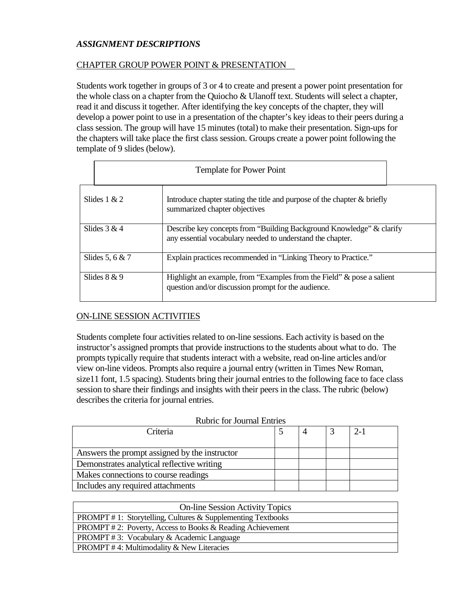# *ASSIGNMENT DESCRIPTIONS*

## CHAPTER GROUP POWER POINT & PRESENTATION

Students work together in groups of 3 or 4 to create and present a power point presentation for the whole class on a chapter from the Quiocho & Ulanoff text. Students will select a chapter, read it and discuss it together. After identifying the key concepts of the chapter, they will develop a power point to use in a presentation of the chapter's key ideas to their peers during a class session. The group will have 15 minutes (total) to make their presentation. Sign-ups for the chapters will take place the first class session. Groups create a power point following the template of 9 slides (below).

|                   | <b>Template for Power Point</b>                                                                                                    |  |
|-------------------|------------------------------------------------------------------------------------------------------------------------------------|--|
| Slides $1 & 2$    | Introduce chapter stating the title and purpose of the chapter $\&$ briefly<br>summarized chapter objectives                       |  |
| Slides $3 & 4$    | Describe key concepts from "Building Background Knowledge" & clarify<br>any essential vocabulary needed to understand the chapter. |  |
| Slides 5, 6 $& 7$ | Explain practices recommended in "Linking Theory to Practice."                                                                     |  |
| Slides $8 & 9$    | Highlight an example, from "Examples from the Field" & pose a salient<br>question and/or discussion prompt for the audience.       |  |

### ON-LINE SESSION ACTIVITIES

Students complete four activities related to on-line sessions. Each activity is based on the instructor's assigned prompts that provide instructions to the students about what to do. The prompts typically require that students interact with a website, read on-line articles and/or view on-line videos. Prompts also require a journal entry (written in Times New Roman, size11 font, 1.5 spacing). Students bring their journal entries to the following face to face class session to share their findings and insights with their peers in the class. The rubric (below) describes the criteria for journal entries.

| <b>Rubric for Journal Entries</b> |
|-----------------------------------|
|                                   |

| Criteria                                      |  |  | $2-1$ |
|-----------------------------------------------|--|--|-------|
|                                               |  |  |       |
| Answers the prompt assigned by the instructor |  |  |       |
| Demonstrates analytical reflective writing    |  |  |       |
| Makes connections to course readings          |  |  |       |
| Includes any required attachments             |  |  |       |

| <b>On-line Session Activity Topics</b>                                |
|-----------------------------------------------------------------------|
| <b>PROMPT</b> #1: Storytelling, Cultures $\&$ Supplementing Textbooks |
| <b>PROMPT</b> #2: Poverty, Access to Books & Reading Achievement      |
| <b>PROMPT</b> #3: Vocabulary & Academic Language                      |
| <b>PROMPT</b> #4: Multimodality $\&$ New Literacies                   |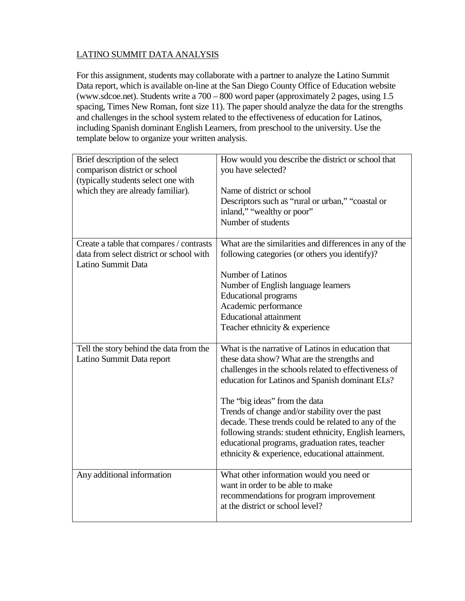# LATINO SUMMIT DATA ANALYSIS

For this assignment, students may collaborate with a partner to analyze the Latino Summit Data report, which is available on-line at the San Diego County Office of Education website (www.sdcoe.net). Students write a 700 – 800 word paper (approximately 2 pages, using 1.5 spacing, Times New Roman, font size 11). The paper should analyze the data for the strengths and challenges in the school system related to the effectiveness of education for Latinos, including Spanish dominant English Learners, from preschool to the university. Use the template below to organize your written analysis.

| Brief description of the select<br>comparison district or school<br>(typically students select one with<br>which they are already familiar). | How would you describe the district or school that<br>you have selected?<br>Name of district or school<br>Descriptors such as "rural or urban," "coastal or<br>inland," "wealthy or poor"<br>Number of students |
|----------------------------------------------------------------------------------------------------------------------------------------------|-----------------------------------------------------------------------------------------------------------------------------------------------------------------------------------------------------------------|
| Create a table that compares / contrasts                                                                                                     | What are the similarities and differences in any of the                                                                                                                                                         |
| data from select district or school with<br>Latino Summit Data                                                                               | following categories (or others you identify)?                                                                                                                                                                  |
|                                                                                                                                              | Number of Latinos                                                                                                                                                                                               |
|                                                                                                                                              | Number of English language learners                                                                                                                                                                             |
|                                                                                                                                              | <b>Educational programs</b>                                                                                                                                                                                     |
|                                                                                                                                              | Academic performance                                                                                                                                                                                            |
|                                                                                                                                              | <b>Educational attainment</b>                                                                                                                                                                                   |
|                                                                                                                                              | Teacher ethnicity & experience                                                                                                                                                                                  |
|                                                                                                                                              |                                                                                                                                                                                                                 |
| Tell the story behind the data from the                                                                                                      | What is the narrative of Latinos in education that                                                                                                                                                              |
| Latino Summit Data report                                                                                                                    | these data show? What are the strengths and                                                                                                                                                                     |
|                                                                                                                                              | challenges in the schools related to effectiveness of                                                                                                                                                           |
|                                                                                                                                              | education for Latinos and Spanish dominant ELs?                                                                                                                                                                 |
|                                                                                                                                              | The "big ideas" from the data                                                                                                                                                                                   |
|                                                                                                                                              | Trends of change and/or stability over the past                                                                                                                                                                 |
|                                                                                                                                              | decade. These trends could be related to any of the                                                                                                                                                             |
|                                                                                                                                              | following strands: student ethnicity, English learners,                                                                                                                                                         |
|                                                                                                                                              | educational programs, graduation rates, teacher                                                                                                                                                                 |
|                                                                                                                                              | ethnicity & experience, educational attainment.                                                                                                                                                                 |
| Any additional information                                                                                                                   | What other information would you need or                                                                                                                                                                        |
|                                                                                                                                              | want in order to be able to make                                                                                                                                                                                |
|                                                                                                                                              | recommendations for program improvement                                                                                                                                                                         |
|                                                                                                                                              | at the district or school level?                                                                                                                                                                                |
|                                                                                                                                              |                                                                                                                                                                                                                 |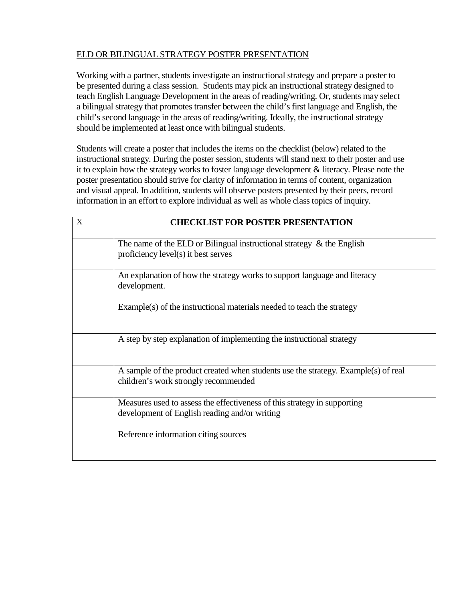# ELD OR BILINGUAL STRATEGY POSTER PRESENTATION

Working with a partner, students investigate an instructional strategy and prepare a poster to be presented during a class session. Students may pick an instructional strategy designed to teach English Language Development in the areas of reading/writing. Or, students may select a bilingual strategy that promotes transfer between the child's first language and English, the child's second language in the areas of reading/writing. Ideally, the instructional strategy should be implemented at least once with bilingual students.

Students will create a poster that includes the items on the checklist (below) related to the instructional strategy. During the poster session, students will stand next to their poster and use it to explain how the strategy works to foster language development & literacy. Please note the poster presentation should strive for clarity of information in terms of content, organization and visual appeal. In addition, students will observe posters presented by their peers, record information in an effort to explore individual as well as whole class topics of inquiry.

| X | <b>CHECKLIST FOR POSTER PRESENTATION</b>                                                                                   |
|---|----------------------------------------------------------------------------------------------------------------------------|
|   | The name of the ELD or Bilingual instructional strategy $\&$ the English<br>proficiency level(s) it best serves            |
|   | An explanation of how the strategy works to support language and literacy<br>development.                                  |
|   | Example(s) of the instructional materials needed to teach the strategy                                                     |
|   | A step by step explanation of implementing the instructional strategy                                                      |
|   | A sample of the product created when students use the strategy. Example(s) of real<br>children's work strongly recommended |
|   | Measures used to assess the effectiveness of this strategy in supporting<br>development of English reading and/or writing  |
|   | Reference information citing sources                                                                                       |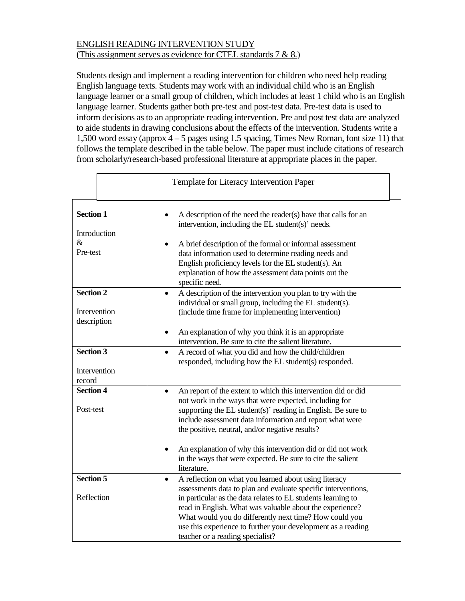# ENGLISH READING INTERVENTION STUDY (This assignment serves as evidence for CTEL standards 7 & 8.)

Students design and implement a reading intervention for children who need help reading English language texts. Students may work with an individual child who is an English language learner or a small group of children, which includes at least 1 child who is an English language learner. Students gather both pre-test and post-test data. Pre-test data is used to inform decisions as to an appropriate reading intervention. Pre and post test data are analyzed to aide students in drawing conclusions about the effects of the intervention. Students write a 1,500 word essay (approx 4 – 5 pages using 1.5 spacing, Times New Roman, font size 11) that follows the template described in the table below. The paper must include citations of research from scholarly/research-based professional literature at appropriate places in the paper.

|                                                      | Template for Literacy Intervention Paper |                                                                                                                                                                                                                                                                                                                                                                                                                                      |  |
|------------------------------------------------------|------------------------------------------|--------------------------------------------------------------------------------------------------------------------------------------------------------------------------------------------------------------------------------------------------------------------------------------------------------------------------------------------------------------------------------------------------------------------------------------|--|
| <b>Section 1</b><br>Introduction<br>$\&$<br>Pre-test |                                          | A description of the need the reader(s) have that calls for an<br>intervention, including the EL student(s)' needs.<br>A brief description of the formal or informal assessment<br>data information used to determine reading needs and<br>English proficiency levels for the EL student(s). An<br>explanation of how the assessment data points out the<br>specific need.                                                           |  |
| <b>Section 2</b><br>Intervention<br>description      |                                          | A description of the intervention you plan to try with the<br>$\bullet$<br>individual or small group, including the EL student(s).<br>(include time frame for implementing intervention)<br>An explanation of why you think it is an appropriate<br>intervention. Be sure to cite the salient literature.                                                                                                                            |  |
| <b>Section 3</b><br>Intervention<br>record           |                                          | A record of what you did and how the child/children<br>$\bullet$<br>responded, including how the EL student(s) responded.                                                                                                                                                                                                                                                                                                            |  |
| <b>Section 4</b><br>Post-test                        |                                          | An report of the extent to which this intervention did or did<br>not work in the ways that were expected, including for<br>supporting the EL student(s)' reading in English. Be sure to<br>include assessment data information and report what were<br>the positive, neutral, and/or negative results?<br>An explanation of why this intervention did or did not work<br>in the ways that were expected. Be sure to cite the salient |  |
| <b>Section 5</b><br>Reflection                       |                                          | literature.<br>A reflection on what you learned about using literacy<br>assessments data to plan and evaluate specific interventions,<br>in particular as the data relates to EL students learning to<br>read in English. What was valuable about the experience?<br>What would you do differently next time? How could you<br>use this experience to further your development as a reading<br>teacher or a reading specialist?      |  |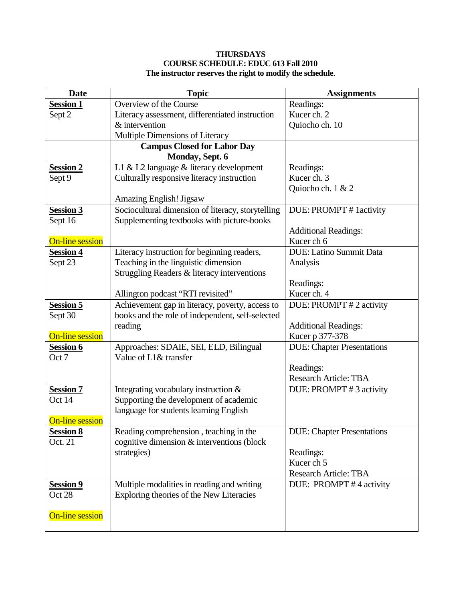### **THURSDAYS COURSE SCHEDULE: EDUC 613 Fall 2010 The instructor reserves the right to modify the schedule**.

| <b>Date</b>            | <b>Topic</b>                                      | <b>Assignments</b>                |
|------------------------|---------------------------------------------------|-----------------------------------|
| <b>Session 1</b>       | Overview of the Course                            | Readings:                         |
| Sept 2                 | Literacy assessment, differentiated instruction   | Kucer ch. 2                       |
|                        | & intervention                                    | Quiocho ch. 10                    |
|                        | Multiple Dimensions of Literacy                   |                                   |
|                        | <b>Campus Closed for Labor Day</b>                |                                   |
|                        | Monday, Sept. 6                                   |                                   |
| <b>Session 2</b>       | L1 & L2 language & literacy development           | Readings:                         |
| Sept 9                 | Culturally responsive literacy instruction        | Kucer ch. 3                       |
|                        |                                                   | Quiocho ch. 1 & 2                 |
|                        | <b>Amazing English! Jigsaw</b>                    |                                   |
| Session 3              | Sociocultural dimension of literacy, storytelling | DUE: PROMPT # 1 activity          |
| Sept 16                | Supplementing textbooks with picture-books        |                                   |
|                        |                                                   | <b>Additional Readings:</b>       |
| <b>On-line session</b> |                                                   | Kucer ch 6                        |
| <b>Session 4</b>       | Literacy instruction for beginning readers,       | <b>DUE:</b> Latino Summit Data    |
| Sept 23                | Teaching in the linguistic dimension              | Analysis                          |
|                        | Struggling Readers & literacy interventions       |                                   |
|                        |                                                   | Readings:                         |
|                        | Allington podcast "RTI revisited"                 | Kucer ch. 4                       |
| <b>Session 5</b>       | Achievement gap in literacy, poverty, access to   | DUE: PROMPT #2 activity           |
| Sept 30                | books and the role of independent, self-selected  |                                   |
|                        | reading                                           | <b>Additional Readings:</b>       |
| <b>On-line session</b> |                                                   | Kucer p 377-378                   |
| <b>Session 6</b>       | Approaches: SDAIE, SEI, ELD, Bilingual            | <b>DUE:</b> Chapter Presentations |
| Oct 7                  | Value of L1& transfer                             |                                   |
|                        |                                                   | Readings:                         |
|                        |                                                   | <b>Research Article: TBA</b>      |
| <b>Session 7</b>       | Integrating vocabulary instruction $&$            | DUE: PROMPT #3 activity           |
| Oct 14                 | Supporting the development of academic            |                                   |
|                        | language for students learning English            |                                   |
| <b>On-line session</b> |                                                   |                                   |
| <b>Session 8</b>       | Reading comprehension, teaching in the            | <b>DUE:</b> Chapter Presentations |
| Oct. 21                | cognitive dimension & interventions (block        |                                   |
|                        | strategies)                                       | Readings:                         |
|                        |                                                   | Kucer ch 5                        |
|                        |                                                   | <b>Research Article: TBA</b>      |
| <b>Session 9</b>       | Multiple modalities in reading and writing        | DUE: PROMPT #4 activity           |
| Oct 28                 | Exploring theories of the New Literacies          |                                   |
|                        |                                                   |                                   |
| <b>On-line session</b> |                                                   |                                   |